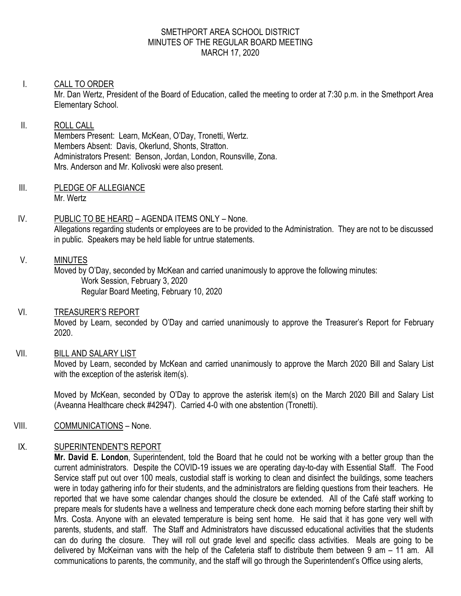#### SMETHPORT AREA SCHOOL DISTRICT MINUTES OF THE REGULAR BOARD MEETING MARCH 17, 2020

#### I. CALL TO ORDER

Mr. Dan Wertz, President of the Board of Education, called the meeting to order at 7:30 p.m. in the Smethport Area Elementary School.

#### II. ROLL CALL

Members Present: Learn, McKean, O'Day, Tronetti, Wertz. Members Absent: Davis, Okerlund, Shonts, Stratton. Administrators Present: Benson, Jordan, London, Rounsville, Zona. Mrs. Anderson and Mr. Kolivoski were also present.

- III. PLEDGE OF ALLEGIANCE Mr. Wertz
- IV. PUBLIC TO BE HEARD AGENDA ITEMS ONLY None. Allegations regarding students or employees are to be provided to the Administration. They are not to be discussed in public. Speakers may be held liable for untrue statements.

#### V. MINUTES

Moved by O'Day, seconded by McKean and carried unanimously to approve the following minutes: Work Session, February 3, 2020 Regular Board Meeting, February 10, 2020

## VI. TREASURER'S REPORT

Moved by Learn, seconded by O'Day and carried unanimously to approve the Treasurer's Report for February 2020.

## VII. BILL AND SALARY LIST

Moved by Learn, seconded by McKean and carried unanimously to approve the March 2020 Bill and Salary List with the exception of the asterisk item(s).

Moved by McKean, seconded by O'Day to approve the asterisk item(s) on the March 2020 Bill and Salary List (Aveanna Healthcare check #42947). Carried 4-0 with one abstention (Tronetti).

## VIII. COMMUNICATIONS – None.

## IX. SUPERINTENDENT'S REPORT

**Mr. David E. London**, Superintendent, told the Board that he could not be working with a better group than the current administrators. Despite the COVID-19 issues we are operating day-to-day with Essential Staff. The Food Service staff put out over 100 meals, custodial staff is working to clean and disinfect the buildings, some teachers were in today gathering info for their students, and the administrators are fielding questions from their teachers. He reported that we have some calendar changes should the closure be extended. All of the Café staff working to prepare meals for students have a wellness and temperature check done each morning before starting their shift by Mrs. Costa. Anyone with an elevated temperature is being sent home. He said that it has gone very well with parents, students, and staff. The Staff and Administrators have discussed educational activities that the students can do during the closure. They will roll out grade level and specific class activities. Meals are going to be delivered by McKeirnan vans with the help of the Cafeteria staff to distribute them between 9 am – 11 am. All communications to parents, the community, and the staff will go through the Superintendent's Office using alerts,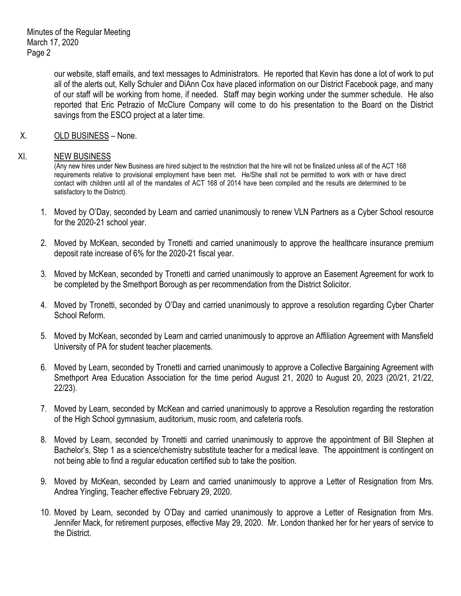our website, staff emails, and text messages to Administrators. He reported that Kevin has done a lot of work to put all of the alerts out, Kelly Schuler and DiAnn Cox have placed information on our District Facebook page, and many of our staff will be working from home, if needed. Staff may begin working under the summer schedule. He also reported that Eric Petrazio of McClure Company will come to do his presentation to the Board on the District savings from the ESCO project at a later time.

X. OLD BUSINESS – None.

#### XI. NEW BUSINESS

(Any new hires under New Business are hired subject to the restriction that the hire will not be finalized unless all of the ACT 168 requirements relative to provisional employment have been met. He/She shall not be permitted to work with or have direct contact with children until all of the mandates of ACT 168 of 2014 have been compiled and the results are determined to be satisfactory to the District).

- 1. Moved by O'Day, seconded by Learn and carried unanimously to renew VLN Partners as a Cyber School resource for the 2020-21 school year.
- 2. Moved by McKean, seconded by Tronetti and carried unanimously to approve the healthcare insurance premium deposit rate increase of 6% for the 2020-21 fiscal year.
- 3. Moved by McKean, seconded by Tronetti and carried unanimously to approve an Easement Agreement for work to be completed by the Smethport Borough as per recommendation from the District Solicitor.
- 4. Moved by Tronetti, seconded by O'Day and carried unanimously to approve a resolution regarding Cyber Charter School Reform.
- 5. Moved by McKean, seconded by Learn and carried unanimously to approve an Affiliation Agreement with Mansfield University of PA for student teacher placements.
- 6. Moved by Learn, seconded by Tronetti and carried unanimously to approve a Collective Bargaining Agreement with Smethport Area Education Association for the time period August 21, 2020 to August 20, 2023 (20/21, 21/22, 22/23).
- 7. Moved by Learn, seconded by McKean and carried unanimously to approve a Resolution regarding the restoration of the High School gymnasium, auditorium, music room, and cafeteria roofs.
- 8. Moved by Learn, seconded by Tronetti and carried unanimously to approve the appointment of Bill Stephen at Bachelor's, Step 1 as a science/chemistry substitute teacher for a medical leave. The appointment is contingent on not being able to find a regular education certified sub to take the position.
- 9. Moved by McKean, seconded by Learn and carried unanimously to approve a Letter of Resignation from Mrs. Andrea Yingling, Teacher effective February 29, 2020.
- 10. Moved by Learn, seconded by O'Day and carried unanimously to approve a Letter of Resignation from Mrs. Jennifer Mack, for retirement purposes, effective May 29, 2020. Mr. London thanked her for her years of service to the District.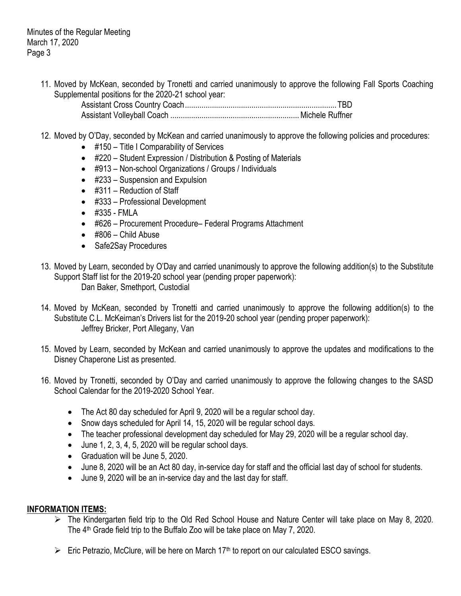11. Moved by McKean, seconded by Tronetti and carried unanimously to approve the following Fall Sports Coaching Supplemental positions for the 2020-21 school year:

Assistant Cross Country Coach.........................................................................TBD Assistant Volleyball Coach ..............................................................Michele Ruffner

- 12. Moved by O'Day, seconded by McKean and carried unanimously to approve the following policies and procedures:
	- #150 Title I Comparability of Services
	- #220 Student Expression / Distribution & Posting of Materials
	- #913 Non-school Organizations / Groups / Individuals
	- #233 Suspension and Expulsion
	- #311 Reduction of Staff
	- #333 Professional Development
	- #335 FMLA
	- #626 Procurement Procedure– Federal Programs Attachment
	- #806 Child Abuse
	- Safe2Say Procedures
- 13. Moved by Learn, seconded by O'Day and carried unanimously to approve the following addition(s) to the Substitute Support Staff list for the 2019-20 school year (pending proper paperwork): Dan Baker, Smethport, Custodial
- 14. Moved by McKean, seconded by Tronetti and carried unanimously to approve the following addition(s) to the Substitute C.L. McKeirnan's Drivers list for the 2019-20 school year (pending proper paperwork): Jeffrey Bricker, Port Allegany, Van
- 15. Moved by Learn, seconded by McKean and carried unanimously to approve the updates and modifications to the Disney Chaperone List as presented.
- 16. Moved by Tronetti, seconded by O'Day and carried unanimously to approve the following changes to the SASD School Calendar for the 2019-2020 School Year.
	- The Act 80 day scheduled for April 9, 2020 will be a regular school day.
	- Snow days scheduled for April 14, 15, 2020 will be regular school days.
	- The teacher professional development day scheduled for May 29, 2020 will be a regular school day.
	- $\bullet$  June 1, 2, 3, 4, 5, 2020 will be regular school days.
	- Graduation will be June 5, 2020.
	- June 8, 2020 will be an Act 80 day, in-service day for staff and the official last day of school for students.
	- June 9, 2020 will be an in-service day and the last day for staff.

## **INFORMATION ITEMS:**

- The Kindergarten field trip to the Old Red School House and Nature Center will take place on May 8, 2020. The 4<sup>th</sup> Grade field trip to the Buffalo Zoo will be take place on May 7, 2020.
- $\triangleright$  Eric Petrazio, McClure, will be here on March 17<sup>th</sup> to report on our calculated ESCO savings.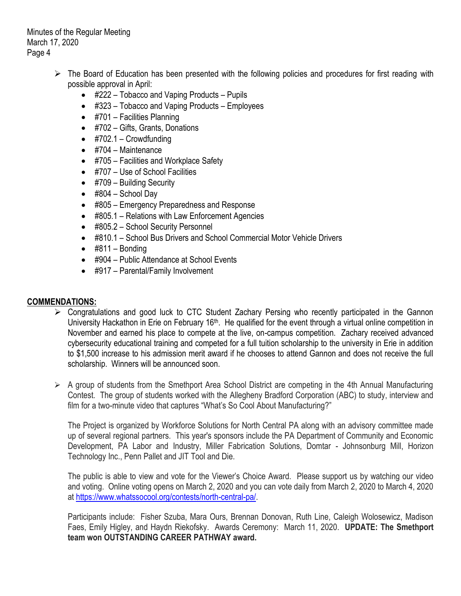Minutes of the Regular Meeting March 17, 2020 Page 4

- $\triangleright$  The Board of Education has been presented with the following policies and procedures for first reading with possible approval in April:
	- #222 Tobacco and Vaping Products Pupils
	- #323 Tobacco and Vaping Products Employees
	- #701 Facilities Planning
	- #702 Gifts, Grants, Donations
	- $\bullet$  #702.1 Crowdfunding
	- $\bullet$  #704 Maintenance
	- #705 Facilities and Workplace Safety
	- #707 Use of School Facilities
	- #709 Building Security
	- $\bullet$  #804 School Day
	- #805 Emergency Preparedness and Response
	- #805.1 Relations with Law Enforcement Agencies
	- #805.2 School Security Personnel
	- #810.1 School Bus Drivers and School Commercial Motor Vehicle Drivers
	- $\bullet$  #811 Bonding
	- #904 Public Attendance at School Events
	- #917 Parental/Family Involvement

## **COMMENDATIONS:**

- Congratulations and good luck to CTC Student Zachary Persing who recently participated in the Gannon University Hackathon in Erie on February 16<sup>th</sup>. He qualified for the event through a virtual online competition in November and earned his place to compete at the live, on-campus competition. Zachary received advanced cybersecurity educational training and competed for a full tuition scholarship to the university in Erie in addition to \$1,500 increase to his admission merit award if he chooses to attend Gannon and does not receive the full scholarship. Winners will be announced soon.
- $\triangleright$  A group of students from the Smethport Area School District are competing in the 4th Annual Manufacturing Contest. The group of students worked with the Allegheny Bradford Corporation (ABC) to study, interview and film for a two-minute video that captures "What's So Cool About Manufacturing?"

The Project is organized by Workforce Solutions for North Central PA along with an advisory committee made up of several regional partners. This year's sponsors include the PA Department of Community and Economic Development, PA Labor and Industry, Miller Fabrication Solutions, Domtar - Johnsonburg Mill, Horizon Technology Inc., Penn Pallet and JIT Tool and Die.

The public is able to view and vote for the Viewer's Choice Award. Please support us by watching our video and voting. Online voting opens on March 2, 2020 and you can vote daily from March 2, 2020 to March 4, 2020 at [https://www.whatssocool.org/contests/north-central-pa/.](https://www.whatssocool.org/contests/north-central-pa/)

Participants include: Fisher Szuba, Mara Ours, Brennan Donovan, Ruth Line, Caleigh Wolosewicz, Madison Faes, Emily Higley, and Haydn Riekofsky. Awards Ceremony: March 11, 2020. **UPDATE: The Smethport team won OUTSTANDING CAREER PATHWAY award.**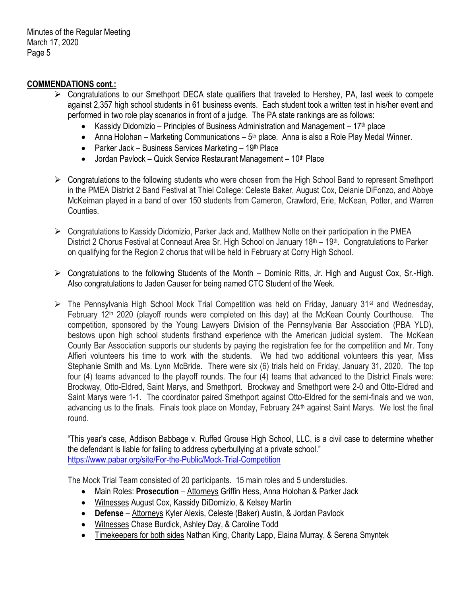Minutes of the Regular Meeting March 17, 2020 Page 5

#### **COMMENDATIONS cont.:**

- $\triangleright$  Congratulations to our Smethport DECA state qualifiers that traveled to Hershey, PA, last week to compete against 2,357 high school students in 61 business events. Each student took a written test in his/her event and performed in two role play scenarios in front of a judge. The PA state rankings are as follows:
	- Kassidy Didomizio Principles of Business Administration and Management  $17<sup>th</sup>$  place
	- Anna Holohan Marketing Communications  $5<sup>th</sup>$  place. Anna is also a Role Play Medal Winner.
	- Parker Jack Business Services Marketing  $19<sup>th</sup>$  Place
	- $\bullet$  Jordan Pavlock Quick Service Restaurant Management 10<sup>th</sup> Place
- $\triangleright$  Congratulations to the following students who were chosen from the High School Band to represent Smethport in the PMEA District 2 Band Festival at Thiel College: Celeste Baker, August Cox, Delanie DiFonzo, and Abbye McKeirnan played in a band of over 150 students from Cameron, Crawford, Erie, McKean, Potter, and Warren Counties.
- Congratulations to Kassidy Didomizio, Parker Jack and, Matthew Nolte on their participation in the PMEA District 2 Chorus Festival at Conneaut Area Sr. High School on January 18<sup>th</sup> – 19<sup>th</sup>. Congratulations to Parker on qualifying for the Region 2 chorus that will be held in February at Corry High School.
- $\triangleright$  Congratulations to the following Students of the Month Dominic Ritts, Jr. High and August Cox, Sr.-High. Also congratulations to Jaden Causer for being named CTC Student of the Week.
- $\triangleright$  The Pennsylvania High School Mock Trial Competition was held on Friday, January 31<sup>st</sup> and Wednesday, February 12<sup>th</sup> 2020 (playoff rounds were completed on this day) at the McKean County Courthouse. The competition, sponsored by the Young Lawyers Division of the Pennsylvania Bar Association (PBA YLD), bestows upon high school students firsthand experience with the American judicial system. The McKean County Bar Association supports our students by paying the registration fee for the competition and Mr. Tony Alfieri volunteers his time to work with the students. We had two additional volunteers this year, Miss Stephanie Smith and Ms. Lynn McBride. There were six (6) trials held on Friday, January 31, 2020. The top four (4) teams advanced to the playoff rounds. The four (4) teams that advanced to the District Finals were: Brockway, Otto-Eldred, Saint Marys, and Smethport. Brockway and Smethport were 2-0 and Otto-Eldred and Saint Marys were 1-1. The coordinator paired Smethport against Otto-Eldred for the semi-finals and we won, advancing us to the finals. Finals took place on Monday, February 24<sup>th</sup> against Saint Marys. We lost the final round.

"This year's case, Addison Babbage v. Ruffed Grouse High School, LLC, is a civil case to determine whether the defendant is liable for failing to address cyberbullying at a private school." <https://www.pabar.org/site/For-the-Public/Mock-Trial-Competition>

The Mock Trial Team consisted of 20 participants. 15 main roles and 5 understudies.

- Main Roles: **Prosecution** Attorneys Griffin Hess, Anna Holohan & Parker Jack
- Witnesses August Cox, Kassidy DiDomizio, & Kelsey Martin
- **Defense** Attorneys Kyler Alexis, Celeste (Baker) Austin, & Jordan Pavlock
- Witnesses Chase Burdick, Ashley Day, & Caroline Todd
- Timekeepers for both sides Nathan King, Charity Lapp, Elaina Murray, & Serena Smyntek